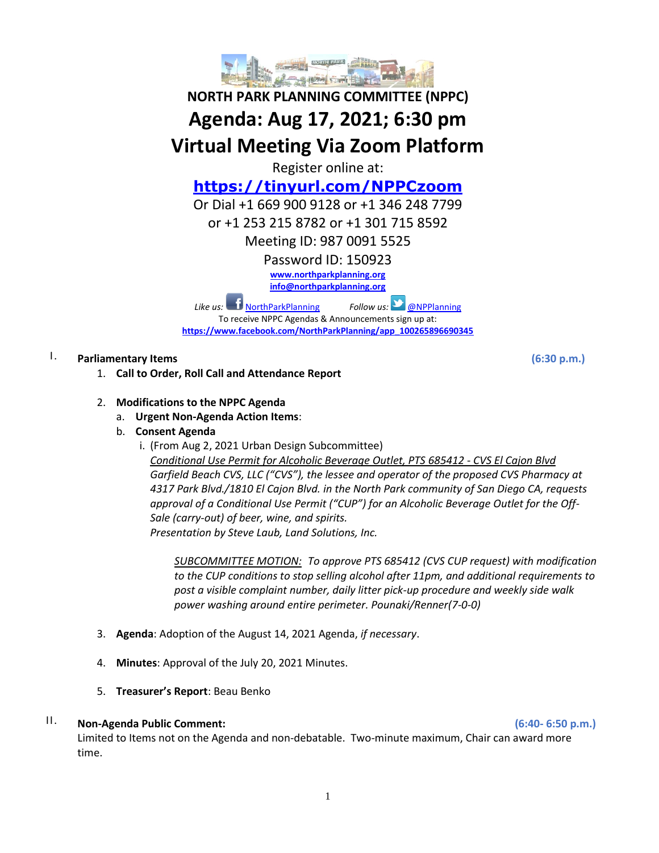

# **NORTH PARK PLANNING COMMITTEE (NPPC) Agenda: Aug 17, 2021; 6:30 pm Virtual Meeting Via Zoom Platform**

Register online at:

# **<https://tinyurl.com/NPPCzoom>**

Or Dial +1 669 900 9128 or +1 346 248 7799

or +1 253 215 8782 or +1 301 715 8592

Meeting ID: 987 0091 5525

Password ID: 150923

**[www.northparkplanning.org](http://www.northparkplanning.org/)**

**[info@northparkplanning.org](mailto:info@northparkplanning.org)**

*Like us:* [NorthParkPlanning](http://www.facebook.com/NorthParkPlanning) *Follow us:* [@NPPlanning](https://twitter.com/#!/NPPlanning) To receive NPPC Agendas & Announcements sign up at: **[https://www.facebook.com/NorthParkPlanning/app\\_100265896690345](https://www.facebook.com/NorthParkPlanning/app_100265896690345)**

## I. **Parliamentary Items (6:30 p.m.)**

- 1. **Call to Order, Roll Call and Attendance Report**
- 2. **Modifications to the NPPC Agenda**
	- a. **Urgent Non-Agenda Action Items**:
	- b. **Consent Agenda**
		- i. (From Aug 2, 2021 Urban Design Subcommittee)

*Conditional Use Permit for Alcoholic Beverage Outlet, PTS 685412 - CVS El Cajon Blvd Garfield Beach CVS, LLC ("CVS"), the lessee and operator of the proposed CVS Pharmacy at 4317 Park Blvd./1810 El Cajon Blvd. in the North Park community of San Diego CA, requests approval of a Conditional Use Permit ("CUP") for an Alcoholic Beverage Outlet for the Off-Sale (carry-out) of beer, wine, and spirits. Presentation by Steve Laub, Land Solutions, Inc.*

*SUBCOMMITTEE MOTION: To approve PTS 685412 (CVS CUP request) with modification to the CUP conditions to stop selling alcohol after 11pm, and additional requirements to post a visible complaint number, daily litter pick-up procedure and weekly side walk power washing around entire perimeter. Pounaki/Renner(7-0-0)*

- 3. **Agenda**: Adoption of the August 14, 2021 Agenda, *if necessary*.
- 4. **Minutes**: Approval of the July 20, 2021 Minutes.
- 5. **Treasurer's Report**: Beau Benko

#### II. **Non-Agenda Public Comment: (6:40- 6:50 p.m.)**

Limited to Items not on the Agenda and non-debatable. Two-minute maximum, Chair can award more time.